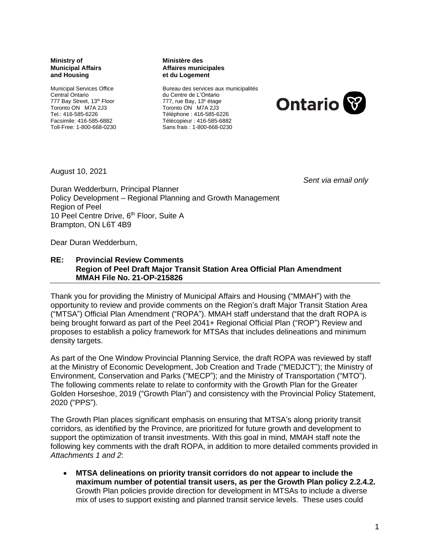### **Ministry of Municipal Affairs and Housing**

Municipal Services Office Central Ontario 777 Bay Street, 13<sup>th</sup> Floor Toronto ON M7A 2J3 Tel.: 416-585-6226 Facsimile: 416-585-6882 Toll-Free: 1-800-668-0230

#### **Ministère des Affaires municipales et du Logement**

Bureau des services aux municipalités du Centre de L'Ontario 777, rue Bay, 13<sup>e</sup> étage Toronto ON M7A 2J3 Téléphone : 416-585-6226 Télécopieur : 416-585-6882 Sans frais : 1-800-668-0230



August 10, 2021

*Sent via email only*

Duran Wedderburn, Principal Planner Policy Development – Regional Planning and Growth Management Region of Peel 10 Peel Centre Drive, 6<sup>th</sup> Floor, Suite A Brampton, ON L6T 4B9

Dear Duran Wedderburn,

### **RE: Provincial Review Comments Region of Peel Draft Major Transit Station Area Official Plan Amendment MMAH File No. 21-OP-215826**

Thank you for providing the Ministry of Municipal Affairs and Housing ("MMAH") with the opportunity to review and provide comments on the Region's draft Major Transit Station Area ("MTSA") Official Plan Amendment ("ROPA"). MMAH staff understand that the draft ROPA is being brought forward as part of the Peel 2041+ Regional Official Plan ("ROP") Review and proposes to establish a policy framework for MTSAs that includes delineations and minimum density targets.

As part of the One Window Provincial Planning Service, the draft ROPA was reviewed by staff at the Ministry of Economic Development, Job Creation and Trade ("MEDJCT"); the Ministry of Environment, Conservation and Parks ("MECP"); and the Ministry of Transportation ("MTO"). The following comments relate to relate to conformity with the Growth Plan for the Greater Golden Horseshoe, 2019 ("Growth Plan") and consistency with the Provincial Policy Statement, 2020 ("PPS").

The Growth Plan places significant emphasis on ensuring that MTSA's along priority transit corridors, as identified by the Province, are prioritized for future growth and development to support the optimization of transit investments. With this goal in mind, MMAH staff note the following key comments with the draft ROPA, in addition to more detailed comments provided in *Attachments 1 and 2*:

• **MTSA delineations on priority transit corridors do not appear to include the maximum number of potential transit users, as per the Growth Plan policy 2.2.4.2.** Growth Plan policies provide direction for development in MTSAs to include a diverse mix of uses to support existing and planned transit service levels. These uses could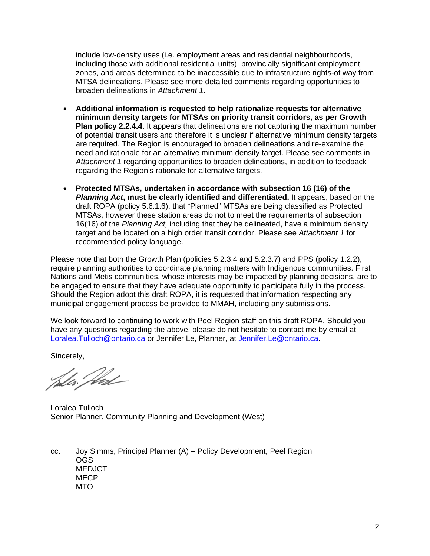include low-density uses (i.e. employment areas and residential neighbourhoods, including those with additional residential units), provincially significant employment zones, and areas determined to be inaccessible due to infrastructure rights-of way from MTSA delineations. Please see more detailed comments regarding opportunities to broaden delineations in *Attachment 1*.

- **Additional information is requested to help rationalize requests for alternative minimum density targets for MTSAs on priority transit corridors, as per Growth Plan policy 2.2.4.4**. It appears that delineations are not capturing the maximum number of potential transit users and therefore it is unclear if alternative minimum density targets are required. The Region is encouraged to broaden delineations and re-examine the need and rationale for an alternative minimum density target. Please see comments in *Attachment 1* regarding opportunities to broaden delineations, in addition to feedback regarding the Region's rationale for alternative targets.
- **Protected MTSAs, undertaken in accordance with subsection 16 (16) of the**  *Planning Act***, must be clearly identified and differentiated.** It appears, based on the draft ROPA (policy 5.6.1.6), that "Planned" MTSAs are being classified as Protected MTSAs, however these station areas do not to meet the requirements of subsection 16(16) of the *Planning Act,* including that they be delineated, have a minimum density target and be located on a high order transit corridor. Please see *Attachment 1* for recommended policy language.

Please note that both the Growth Plan (policies 5.2.3.4 and 5.2.3.7) and PPS (policy 1.2.2), require planning authorities to coordinate planning matters with Indigenous communities. First Nations and Metis communities, whose interests may be impacted by planning decisions, are to be engaged to ensure that they have adequate opportunity to participate fully in the process. Should the Region adopt this draft ROPA, it is requested that information respecting any municipal engagement process be provided to MMAH, including any submissions.

We look forward to continuing to work with Peel Region staff on this draft ROPA. Should you have any questions regarding the above, please do not hesitate to contact me by email at Loralea.Tulloch@ontario.ca or Jennifer Le, Planner, at Jennifer.Le@ontario.ca.

Sincerely,

Lla *Ded* 

Loralea Tulloch Senior Planner, Community Planning and Development (West)

cc. Joy Simms, Principal Planner (A) – Policy Development, Peel Region OGS **MEDJCT MECP** MTO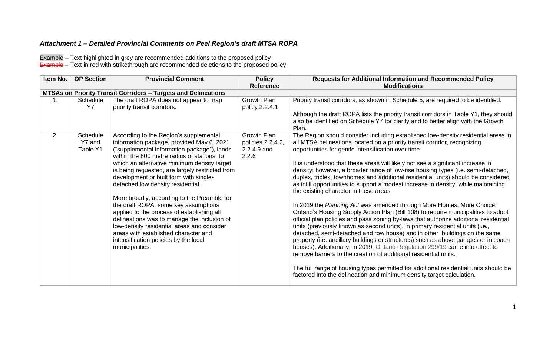# *Attachment 1 – Detailed Provincial Comments on Peel Region's draft MTSA ROPA*

Example – Text highlighted in grey are recommended additions to the proposed policy Example – Text in red with strikethrough are recommended deletions to the proposed policy

| Item No. | <b>OP Section</b>              | <b>Provincial Comment</b>                                                                                                                                                                                                                                                                                                                                                                                                                                                                                                                                                                                                                                                                                | <b>Policy</b><br><b>Reference</b>                        | <b>Requests for Additional Information and Recommended Policy</b><br><b>Modifications</b>                                                                                                                                                                                                                                                                                                                                                                                                                                                                                                                                                                                                                                                                                                                                                                                                                                                                                                                                                                                                                                                                                                                                                                                                                                                                                                                                                           |
|----------|--------------------------------|----------------------------------------------------------------------------------------------------------------------------------------------------------------------------------------------------------------------------------------------------------------------------------------------------------------------------------------------------------------------------------------------------------------------------------------------------------------------------------------------------------------------------------------------------------------------------------------------------------------------------------------------------------------------------------------------------------|----------------------------------------------------------|-----------------------------------------------------------------------------------------------------------------------------------------------------------------------------------------------------------------------------------------------------------------------------------------------------------------------------------------------------------------------------------------------------------------------------------------------------------------------------------------------------------------------------------------------------------------------------------------------------------------------------------------------------------------------------------------------------------------------------------------------------------------------------------------------------------------------------------------------------------------------------------------------------------------------------------------------------------------------------------------------------------------------------------------------------------------------------------------------------------------------------------------------------------------------------------------------------------------------------------------------------------------------------------------------------------------------------------------------------------------------------------------------------------------------------------------------------|
|          |                                | <b>MTSAs on Priority Transit Corridors - Targets and Delineations</b>                                                                                                                                                                                                                                                                                                                                                                                                                                                                                                                                                                                                                                    |                                                          |                                                                                                                                                                                                                                                                                                                                                                                                                                                                                                                                                                                                                                                                                                                                                                                                                                                                                                                                                                                                                                                                                                                                                                                                                                                                                                                                                                                                                                                     |
| 1.       | <b>Schedule</b><br><b>Y7</b>   | The draft ROPA does not appear to map<br>priority transit corridors.                                                                                                                                                                                                                                                                                                                                                                                                                                                                                                                                                                                                                                     | Growth Plan<br>policy 2.2.4.1                            | Priority transit corridors, as shown in Schedule 5, are required to be identified.<br>Although the draft ROPA lists the priority transit corridors in Table Y1, they should<br>also be identified on Schedule Y7 for clarity and to better align with the Growth<br>Plan.                                                                                                                                                                                                                                                                                                                                                                                                                                                                                                                                                                                                                                                                                                                                                                                                                                                                                                                                                                                                                                                                                                                                                                           |
| 2.       | Schedule<br>Y7 and<br>Table Y1 | According to the Region's supplemental<br>information package, provided May 6, 2021<br>("supplemental information package"), lands<br>within the 800 metre radius of stations, to<br>which an alternative minimum density target<br>is being requested, are largely restricted from<br>development or built form with single-<br>detached low density residential.<br>More broadly, according to the Preamble for<br>the draft ROPA, some key assumptions<br>applied to the process of establishing all<br>delineations was to manage the inclusion of<br>low-density residential areas and consider<br>areas with established character and<br>intensification policies by the local<br>municipalities. | Growth Plan<br>policies 2.2.4.2,<br>2.2.4.9 and<br>2.2.6 | The Region should consider including established low-density residential areas in<br>all MTSA delineations located on a priority transit corridor, recognizing<br>opportunities for gentle intensification over time.<br>It is understood that these areas will likely not see a significant increase in<br>density; however, a broader range of low-rise housing types (i.e. semi-detached,<br>duplex, triplex, townhomes and additional residential units) should be considered<br>as infill opportunities to support a modest increase in density, while maintaining<br>the existing character in these areas.<br>In 2019 the Planning Act was amended through More Homes, More Choice:<br>Ontario's Housing Supply Action Plan (Bill 108) to require municipalities to adopt<br>official plan policies and pass zoning by-laws that authorize additional residential<br>units (previously known as second units), in primary residential units (i.e.,<br>detached, semi-detached and row house) and in other buildings on the same<br>property (i.e. ancillary buildings or structures) such as above garages or in coach<br>houses). Additionally, in 2019, Ontario Regulation 299/19 came into effect to<br>remove barriers to the creation of additional residential units.<br>The full range of housing types permitted for additional residential units should be<br>factored into the delineation and minimum density target calculation. |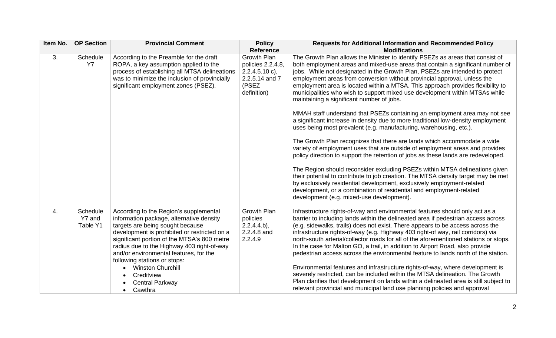| Item No. | <b>OP Section</b>              | <b>Provincial Comment</b>                                                                                                                                                                                                                                                                                                                                                                                                                 | <b>Policy</b><br><b>Reference</b>                                                                     | <b>Requests for Additional Information and Recommended Policy</b><br><b>Modifications</b>                                                                                                                                                                                                                                                                                                                                                                                                                                                                                                                                                                                                                                                                                                                                                                                                                                                                                                                                                                                                                                                                                                                                                                                                                                                                                                              |
|----------|--------------------------------|-------------------------------------------------------------------------------------------------------------------------------------------------------------------------------------------------------------------------------------------------------------------------------------------------------------------------------------------------------------------------------------------------------------------------------------------|-------------------------------------------------------------------------------------------------------|--------------------------------------------------------------------------------------------------------------------------------------------------------------------------------------------------------------------------------------------------------------------------------------------------------------------------------------------------------------------------------------------------------------------------------------------------------------------------------------------------------------------------------------------------------------------------------------------------------------------------------------------------------------------------------------------------------------------------------------------------------------------------------------------------------------------------------------------------------------------------------------------------------------------------------------------------------------------------------------------------------------------------------------------------------------------------------------------------------------------------------------------------------------------------------------------------------------------------------------------------------------------------------------------------------------------------------------------------------------------------------------------------------|
| 3.       | Schedule<br><b>Y7</b>          | According to the Preamble for the draft<br>ROPA, a key assumption applied to the<br>process of establishing all MTSA delineations<br>was to minimize the inclusion of provincially<br>significant employment zones (PSEZ).                                                                                                                                                                                                                | <b>Growth Plan</b><br>policies 2.2.4.8,<br>$2.2.4.5.10 c$ ,<br>2.2.5.14 and 7<br>(PSEZ<br>definition) | The Growth Plan allows the Minister to identify PSEZs as areas that consist of<br>both employment areas and mixed-use areas that contain a significant number of<br>jobs. While not designated in the Growth Plan, PSEZs are intended to protect<br>employment areas from conversion without provincial approval, unless the<br>employment area is located within a MTSA. This approach provides flexibility to<br>municipalities who wish to support mixed use development within MTSAs while<br>maintaining a significant number of jobs.<br>MMAH staff understand that PSEZs containing an employment area may not see<br>a significant increase in density due to more traditional low-density employment<br>uses being most prevalent (e.g. manufacturing, warehousing, etc.).<br>The Growth Plan recognizes that there are lands which accommodate a wide<br>variety of employment uses that are outside of employment areas and provides<br>policy direction to support the retention of jobs as these lands are redeveloped.<br>The Region should reconsider excluding PSEZs within MTSA delineations given<br>their potential to contribute to job creation. The MTSA density target may be met<br>by exclusively residential development, exclusively employment-related<br>development, or a combination of residential and employment-related<br>development (e.g. mixed-use development). |
| 4.       | Schedule<br>Y7 and<br>Table Y1 | According to the Region's supplemental<br>information package, alternative density<br>targets are being sought because<br>development is prohibited or restricted on a<br>significant portion of the MTSA's 800 metre<br>radius due to the Highway 403 right-of-way<br>and/or environmental features, for the<br>following stations or stops:<br><b>Winston Churchill</b><br>Creditview<br><b>Central Parkway</b><br>Cawthra<br>$\bullet$ | <b>Growth Plan</b><br>policies<br>$2.2.4.4.b$ ,<br>2.2.4.8 and<br>2.2.4.9                             | Infrastructure rights-of-way and environmental features should only act as a<br>barrier to including lands within the delineated area if pedestrian access across<br>(e.g. sidewalks, trails) does not exist. There appears to be access across the<br>infrastructure rights-of-way (e.g. Highway 403 right-of way, rail corridors) via<br>north-south arterial/collector roads for all of the aforementioned stations or stops.<br>In the case for Malton GO, a trail, in addition to Airport Road, also provide<br>pedestrian access across the environmental feature to lands north of the station.<br>Environmental features and infrastructure rights-of-way, where development is<br>severely restricted, can be included within the MTSA delineation. The Growth<br>Plan clarifies that development on lands within a delineated area is still subject to<br>relevant provincial and municipal land use planning policies and approval                                                                                                                                                                                                                                                                                                                                                                                                                                                          |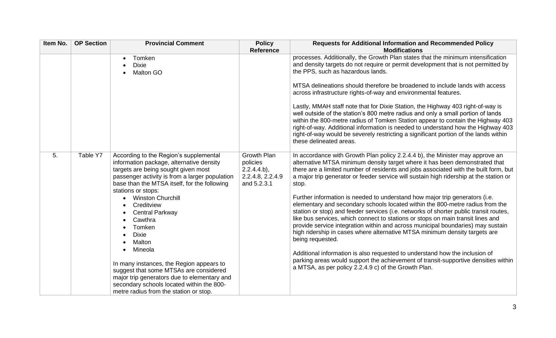| Item No. | <b>OP Section</b> | <b>Provincial Comment</b>                                                                                                                                                                                                                         | <b>Policy</b>                                                                      | <b>Requests for Additional Information and Recommended Policy</b>                                                                                                                                                                                                                                                                                                                                                                                                                                                             |
|----------|-------------------|---------------------------------------------------------------------------------------------------------------------------------------------------------------------------------------------------------------------------------------------------|------------------------------------------------------------------------------------|-------------------------------------------------------------------------------------------------------------------------------------------------------------------------------------------------------------------------------------------------------------------------------------------------------------------------------------------------------------------------------------------------------------------------------------------------------------------------------------------------------------------------------|
|          |                   | Tomken                                                                                                                                                                                                                                            | <b>Reference</b>                                                                   | <b>Modifications</b><br>processes. Additionally, the Growth Plan states that the minimum intensification                                                                                                                                                                                                                                                                                                                                                                                                                      |
|          |                   | <b>Dixie</b><br><b>Malton GO</b>                                                                                                                                                                                                                  |                                                                                    | and density targets do not require or permit development that is not permitted by<br>the PPS, such as hazardous lands.                                                                                                                                                                                                                                                                                                                                                                                                        |
|          |                   |                                                                                                                                                                                                                                                   |                                                                                    | MTSA delineations should therefore be broadened to include lands with access<br>across infrastructure rights-of-way and environmental features.                                                                                                                                                                                                                                                                                                                                                                               |
|          |                   |                                                                                                                                                                                                                                                   |                                                                                    | Lastly, MMAH staff note that for Dixie Station, the Highway 403 right-of-way is<br>well outside of the station's 800 metre radius and only a small portion of lands<br>within the 800-metre radius of Tomken Station appear to contain the Highway 403<br>right-of-way. Additional information is needed to understand how the Highway 403<br>right-of-way would be severely restricting a significant portion of the lands within<br>these delineated areas.                                                                 |
| 5.       | Table Y7          | According to the Region's supplemental<br>information package, alternative density<br>targets are being sought given most<br>passenger activity is from a larger population<br>base than the MTSA itself, for the following<br>stations or stops: | <b>Growth Plan</b><br>policies<br>$2.2.4.4.b$ ,<br>2.2.4.8, 2.2.4.9<br>and 5.2.3.1 | In accordance with Growth Plan policy 2.2.4.4 b), the Minister may approve an<br>alternative MTSA minimum density target where it has been demonstrated that<br>there are a limited number of residents and jobs associated with the built form, but<br>a major trip generator or feeder service will sustain high ridership at the station or<br>stop.                                                                                                                                                                       |
|          |                   | <b>Winston Churchill</b><br>Creditview<br><b>Central Parkway</b><br>$\bullet$<br>Cawthra<br>$\bullet$<br>Tomken<br><b>Dixie</b><br>Malton                                                                                                         |                                                                                    | Further information is needed to understand how major trip generators (i.e.<br>elementary and secondary schools located within the 800-metre radius from the<br>station or stop) and feeder services (i.e. networks of shorter public transit routes,<br>like bus services, which connect to stations or stops on main transit lines and<br>provide service integration within and across municipal boundaries) may sustain<br>high ridership in cases where alternative MTSA minimum density targets are<br>being requested. |
|          |                   | Mineola<br>$\bullet$<br>In many instances, the Region appears to<br>suggest that some MTSAs are considered<br>major trip generators due to elementary and<br>secondary schools located within the 800-<br>metre radius from the station or stop.  |                                                                                    | Additional information is also requested to understand how the inclusion of<br>parking areas would support the achievement of transit-supportive densities within<br>a MTSA, as per policy 2.2.4.9 c) of the Growth Plan.                                                                                                                                                                                                                                                                                                     |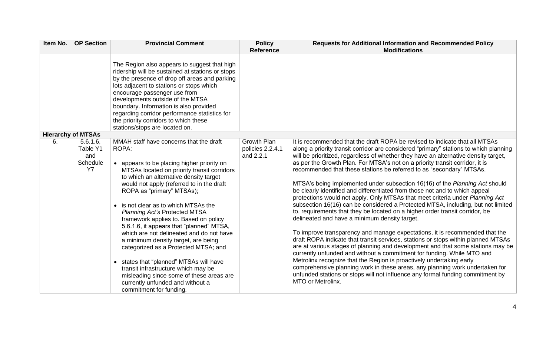| Item No. | <b>OP Section</b>                            | <b>Provincial Comment</b>                                                                                                                                                                                                                                                                                                                                                                                                                                                                                                                                                                                                                                                                                                                                      | <b>Policy</b><br><b>Reference</b>                   | <b>Requests for Additional Information and Recommended Policy</b><br><b>Modifications</b>                                                                                                                                                                                                                                                                                                                                                                                                                                                                                                                                                                                                                                                                                                                                                                                                                                                                                                                                                                                                                                                                                                                                                                                                                                                                                                                                                                                               |
|----------|----------------------------------------------|----------------------------------------------------------------------------------------------------------------------------------------------------------------------------------------------------------------------------------------------------------------------------------------------------------------------------------------------------------------------------------------------------------------------------------------------------------------------------------------------------------------------------------------------------------------------------------------------------------------------------------------------------------------------------------------------------------------------------------------------------------------|-----------------------------------------------------|-----------------------------------------------------------------------------------------------------------------------------------------------------------------------------------------------------------------------------------------------------------------------------------------------------------------------------------------------------------------------------------------------------------------------------------------------------------------------------------------------------------------------------------------------------------------------------------------------------------------------------------------------------------------------------------------------------------------------------------------------------------------------------------------------------------------------------------------------------------------------------------------------------------------------------------------------------------------------------------------------------------------------------------------------------------------------------------------------------------------------------------------------------------------------------------------------------------------------------------------------------------------------------------------------------------------------------------------------------------------------------------------------------------------------------------------------------------------------------------------|
|          |                                              | The Region also appears to suggest that high<br>ridership will be sustained at stations or stops<br>by the presence of drop off areas and parking<br>lots adjacent to stations or stops which<br>encourage passenger use from<br>developments outside of the MTSA<br>boundary. Information is also provided<br>regarding corridor performance statistics for<br>the priority corridors to which these<br>stations/stops are located on.                                                                                                                                                                                                                                                                                                                        |                                                     |                                                                                                                                                                                                                                                                                                                                                                                                                                                                                                                                                                                                                                                                                                                                                                                                                                                                                                                                                                                                                                                                                                                                                                                                                                                                                                                                                                                                                                                                                         |
|          | <b>Hierarchy of MTSAs</b>                    |                                                                                                                                                                                                                                                                                                                                                                                                                                                                                                                                                                                                                                                                                                                                                                |                                                     |                                                                                                                                                                                                                                                                                                                                                                                                                                                                                                                                                                                                                                                                                                                                                                                                                                                                                                                                                                                                                                                                                                                                                                                                                                                                                                                                                                                                                                                                                         |
| 6.       | 5.6.1.6<br>Table Y1<br>and<br>Schedule<br>Y7 | MMAH staff have concerns that the draft<br>ROPA:<br>• appears to be placing higher priority on<br>MTSAs located on priority transit corridors<br>to which an alternative density target<br>would not apply (referred to in the draft<br>ROPA as "primary" MTSAs);<br>• is not clear as to which MTSAs the<br><b>Planning Act's Protected MTSA</b><br>framework applies to. Based on policy<br>5.6.1.6, it appears that "planned" MTSA,<br>which are not delineated and do not have<br>a minimum density target, are being<br>categorized as a Protected MTSA; and<br>• states that "planned" MTSAs will have<br>transit infrastructure which may be<br>misleading since some of these areas are<br>currently unfunded and without a<br>commitment for funding. | <b>Growth Plan</b><br>policies 2.2.4.1<br>and 2.2.1 | It is recommended that the draft ROPA be revised to indicate that all MTSAs<br>along a priority transit corridor are considered "primary" stations to which planning<br>will be prioritized, regardless of whether they have an alternative density target,<br>as per the Growth Plan. For MTSA's not on a priority transit corridor, it is<br>recommended that these stations be referred to as "secondary" MTSAs.<br>MTSA's being implemented under subsection 16(16) of the Planning Act should<br>be clearly identified and differentiated from those not and to which appeal<br>protections would not apply. Only MTSAs that meet criteria under Planning Act<br>subsection 16(16) can be considered a Protected MTSA, including, but not limited<br>to, requirements that they be located on a higher order transit corridor, be<br>delineated and have a minimum density target.<br>To improve transparency and manage expectations, it is recommended that the<br>draft ROPA indicate that transit services, stations or stops within planned MTSAs<br>are at various stages of planning and development and that some stations may be<br>currently unfunded and without a commitment for funding. While MTO and<br>Metrolinx recognize that the Region is proactively undertaking early<br>comprehensive planning work in these areas, any planning work undertaken for<br>unfunded stations or stops will not influence any formal funding commitment by<br>MTO or Metrolinx. |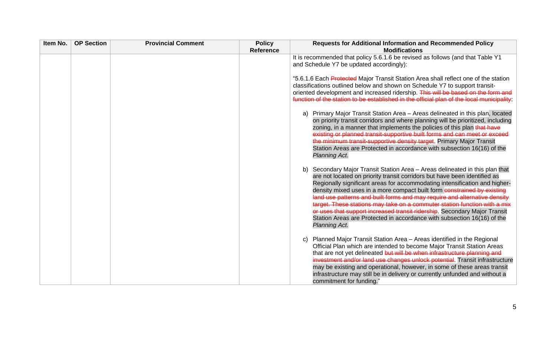| Item No. | <b>OP Section</b> | <b>Provincial Comment</b> | <b>Policy</b><br><b>Reference</b> | <b>Requests for Additional Information and Recommended Policy</b><br><b>Modifications</b>                                                                                                                                                                                                                                                                                                                                                                                                                                                                                                                                                                |
|----------|-------------------|---------------------------|-----------------------------------|----------------------------------------------------------------------------------------------------------------------------------------------------------------------------------------------------------------------------------------------------------------------------------------------------------------------------------------------------------------------------------------------------------------------------------------------------------------------------------------------------------------------------------------------------------------------------------------------------------------------------------------------------------|
|          |                   |                           |                                   | It is recommended that policy 5.6.1.6 be revised as follows (and that Table Y1<br>and Schedule Y7 be updated accordingly):                                                                                                                                                                                                                                                                                                                                                                                                                                                                                                                               |
|          |                   |                           |                                   | "5.6.1.6 Each Protected Major Transit Station Area shall reflect one of the station<br>classifications outlined below and shown on Schedule Y7 to support transit-<br>oriented development and increased ridership. This will be based on the form and<br>function of the station to be established in the official plan of the local municipality:                                                                                                                                                                                                                                                                                                      |
|          |                   |                           |                                   | Primary Major Transit Station Area - Areas delineated in this plan, located<br>a)<br>on priority transit corridors and where planning will be prioritized, including<br>zoning, in a manner that implements the policies of this plan that have<br>existing or planned transit-supportive built forms and can meet or exceed<br>the minimum transit-supportive density target. Primary Major Transit<br>Station Areas are Protected in accordance with subsection 16(16) of the<br>Planning Act.                                                                                                                                                         |
|          |                   |                           |                                   | Secondary Major Transit Station Area - Areas delineated in this plan that<br>b)<br>are not located on priority transit corridors but have been identified as<br>Regionally significant areas for accommodating intensification and higher-<br>density mixed uses in a more compact built form constrained by existing<br>land use patterns and built forms and may require and alternative density<br>target. These stations may take on a commuter station function with a mix<br>or uses that support increased transit ridership. Secondary Major Transit<br>Station Areas are Protected in accordance with subsection 16(16) of the<br>Planning Act. |
|          |                   |                           |                                   | Planned Major Transit Station Area - Areas identified in the Regional<br>$\mathbf{C}$<br>Official Plan which are intended to become Major Transit Station Areas<br>that are not yet delineated but will be when infrastructure planning and<br>investment and/or land use changes unlock potential. Transit infrastructure<br>may be existing and operational, however, in some of these areas transit<br>infrastructure may still be in delivery or currently unfunded and without a<br>commitment for funding."                                                                                                                                        |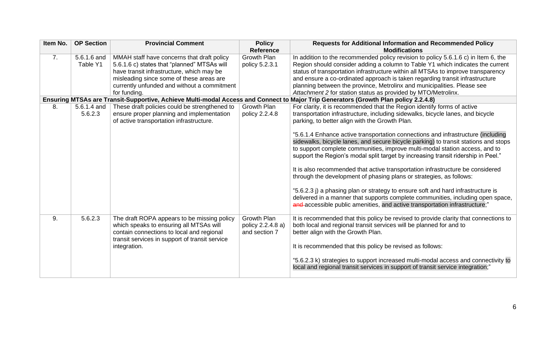| Item No. | <b>OP Section</b>       | <b>Provincial Comment</b>                                                                                                                                                                                                                         | <b>Policy</b><br><b>Reference</b>                        | <b>Requests for Additional Information and Recommended Policy</b><br><b>Modifications</b>                                                                                                                                                                                                                                                                                                                                                                                                                                                                                                                                                                                                                                                                  |
|----------|-------------------------|---------------------------------------------------------------------------------------------------------------------------------------------------------------------------------------------------------------------------------------------------|----------------------------------------------------------|------------------------------------------------------------------------------------------------------------------------------------------------------------------------------------------------------------------------------------------------------------------------------------------------------------------------------------------------------------------------------------------------------------------------------------------------------------------------------------------------------------------------------------------------------------------------------------------------------------------------------------------------------------------------------------------------------------------------------------------------------------|
| 7.       | 5.6.1.6 and<br>Table Y1 | MMAH staff have concerns that draft policy<br>5.6.1.6 c) states that "planned" MTSAs will<br>have transit infrastructure, which may be<br>misleading since some of these areas are<br>currently unfunded and without a commitment<br>for funding. | <b>Growth Plan</b><br>policy 5.2.3.1                     | In addition to the recommended policy revision to policy 5.6.1.6 c) in Item 6, the<br>Region should consider adding a column to Table Y1 which indicates the current<br>status of transportation infrastructure within all MTSAs to improve transparency<br>and ensure a co-ordinated approach is taken regarding transit infrastructure<br>planning between the province, Metrolinx and municipalities. Please see<br>Attachment 2 for station status as provided by MTO/Metrolinx.                                                                                                                                                                                                                                                                       |
|          |                         |                                                                                                                                                                                                                                                   |                                                          | Ensuring MTSAs are Transit-Supportive, Achieve Multi-modal Access and Connect to Major Trip Generators (Growth Plan policy 2.2.4.8)                                                                                                                                                                                                                                                                                                                                                                                                                                                                                                                                                                                                                        |
| 8.       | 5.6.1.4 and<br>5.6.2.3  | These draft policies could be strengthened to<br>ensure proper planning and implementation<br>of active transportation infrastructure.                                                                                                            | <b>Growth Plan</b><br>policy 2.2.4.8                     | For clarity, it is recommended that the Region identify forms of active<br>transportation infrastructure, including sidewalks, bicycle lanes, and bicycle<br>parking, to better align with the Growth Plan.                                                                                                                                                                                                                                                                                                                                                                                                                                                                                                                                                |
|          |                         |                                                                                                                                                                                                                                                   |                                                          | "5.6.1.4 Enhance active transportation connections and infrastructure (including<br>sidewalks, bicycle lanes, and secure bicycle parking) to transit stations and stops<br>to support complete communities, improve multi-modal station access, and to<br>support the Region's modal split target by increasing transit ridership in Peel."<br>It is also recommended that active transportation infrastructure be considered<br>through the development of phasing plans or strategies, as follows:<br>"5.6.2.3 j) a phasing plan or strategy to ensure soft and hard infrastructure is<br>delivered in a manner that supports complete communities, including open space,<br>and accessible public amenities, and active transportation infrastructure;" |
| 9.       | 5.6.2.3                 | The draft ROPA appears to be missing policy<br>which speaks to ensuring all MTSAs will<br>contain connections to local and regional<br>transit services in support of transit service<br>integration.                                             | <b>Growth Plan</b><br>policy 2.2.4.8 a)<br>and section 7 | It is recommended that this policy be revised to provide clarity that connections to<br>both local and regional transit services will be planned for and to<br>better align with the Growth Plan.<br>It is recommended that this policy be revised as follows:<br>"5.6.2.3 k) strategies to support increased multi-modal access and connectivity to<br>local and regional transit services in support of transit service integration;"                                                                                                                                                                                                                                                                                                                    |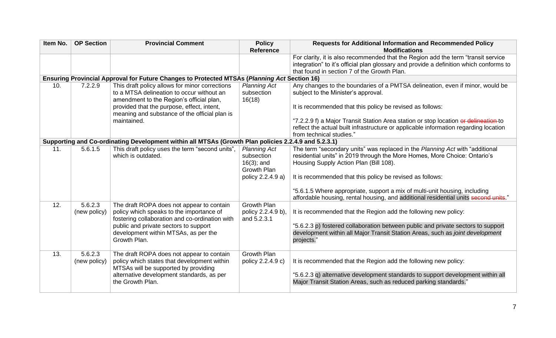| Item No. | <b>OP Section</b> | <b>Provincial Comment</b>                                                                                                               | <b>Policy</b>                               | <b>Requests for Additional Information and Recommended Policy</b>                                                                                         |
|----------|-------------------|-----------------------------------------------------------------------------------------------------------------------------------------|---------------------------------------------|-----------------------------------------------------------------------------------------------------------------------------------------------------------|
|          |                   |                                                                                                                                         | <b>Reference</b>                            | <b>Modifications</b>                                                                                                                                      |
|          |                   |                                                                                                                                         |                                             | For clarity, it is also recommended that the Region add the term "transit service                                                                         |
|          |                   |                                                                                                                                         |                                             | integration" to it's official plan glossary and provide a definition which conforms to                                                                    |
|          |                   |                                                                                                                                         |                                             | that found in section 7 of the Growth Plan.                                                                                                               |
|          |                   | Ensuring Provincial Approval for Future Changes to Protected MTSAs (Planning Act Section 16)                                            |                                             |                                                                                                                                                           |
| 10.      | 7.2.2.9           | This draft policy allows for minor corrections<br>to a MTSA delineation to occur without an<br>amendment to the Region's official plan, | <b>Planning Act</b><br>subsection<br>16(18) | Any changes to the boundaries of a PMTSA delineation, even if minor, would be<br>subject to the Minister's approval.                                      |
|          |                   | provided that the purpose, effect, intent,<br>meaning and substance of the official plan is                                             |                                             | It is recommended that this policy be revised as follows:                                                                                                 |
|          |                   | maintained.                                                                                                                             |                                             | "7.2.2.9 f) a Major Transit Station Area station or stop location or delineation to                                                                       |
|          |                   |                                                                                                                                         |                                             | reflect the actual built infrastructure or applicable information regarding location                                                                      |
|          |                   |                                                                                                                                         |                                             | from technical studies."                                                                                                                                  |
|          |                   | Supporting and Co-ordinating Development within all MTSAs (Growth Plan policies 2.2.4.9 and 5.2.3.1)                                    |                                             |                                                                                                                                                           |
| 11.      | 5.6.1.5           | This draft policy uses the term "second units",<br>which is outdated.                                                                   | <b>Planning Act</b><br>subsection           | The term "secondary units" was replaced in the Planning Act with "additional<br>residential units" in 2019 through the More Homes, More Choice: Ontario's |
|          |                   |                                                                                                                                         | $16(3)$ ; and                               | Housing Supply Action Plan (Bill 108).                                                                                                                    |
|          |                   |                                                                                                                                         | Growth Plan                                 |                                                                                                                                                           |
|          |                   |                                                                                                                                         | policy 2.2.4.9 a)                           | It is recommended that this policy be revised as follows:                                                                                                 |
|          |                   |                                                                                                                                         |                                             | "5.6.1.5 Where appropriate, support a mix of multi-unit housing, including                                                                                |
|          |                   |                                                                                                                                         |                                             | affordable housing, rental housing, and additional residential units second units."                                                                       |
| 12.      | 5.6.2.3           | The draft ROPA does not appear to contain                                                                                               | Growth Plan                                 |                                                                                                                                                           |
|          | (new policy)      | policy which speaks to the importance of<br>fostering collaboration and co-ordination with                                              | policy 2.2.4.9 b),<br>and 5.2.3.1           | It is recommended that the Region add the following new policy:                                                                                           |
|          |                   | public and private sectors to support                                                                                                   |                                             | "5.6.2.3 p) fostered collaboration between public and private sectors to support                                                                          |
|          |                   | development within MTSAs, as per the                                                                                                    |                                             | development within all Major Transit Station Areas, such as joint development                                                                             |
|          |                   | Growth Plan.                                                                                                                            |                                             | projects."                                                                                                                                                |
| 13.      | 5.6.2.3           | The draft ROPA does not appear to contain                                                                                               | <b>Growth Plan</b>                          |                                                                                                                                                           |
|          | (new policy)      | policy which states that development within                                                                                             | policy 2.2.4.9 c)                           | It is recommended that the Region add the following new policy:                                                                                           |
|          |                   | MTSAs will be supported by providing                                                                                                    |                                             |                                                                                                                                                           |
|          |                   | alternative development standards, as per<br>the Growth Plan.                                                                           |                                             | "5.6.2.3 q) alternative development standards to support development within all<br>Major Transit Station Areas, such as reduced parking standards."       |
|          |                   |                                                                                                                                         |                                             |                                                                                                                                                           |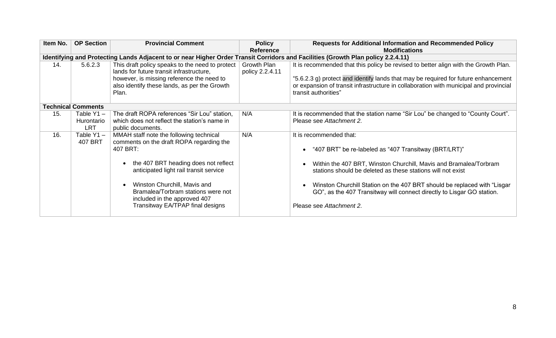| Item No. | <b>OP Section</b>                        | <b>Provincial Comment</b>                                                                                                                                                                                                                                                                                                                | <b>Policy</b><br><b>Reference</b> | <b>Requests for Additional Information and Recommended Policy</b><br><b>Modifications</b>                                                                                                                                                                                                                                                                                                                            |
|----------|------------------------------------------|------------------------------------------------------------------------------------------------------------------------------------------------------------------------------------------------------------------------------------------------------------------------------------------------------------------------------------------|-----------------------------------|----------------------------------------------------------------------------------------------------------------------------------------------------------------------------------------------------------------------------------------------------------------------------------------------------------------------------------------------------------------------------------------------------------------------|
|          |                                          | Identifying and Protecting Lands Adjacent to or near Higher Order Transit Corridors and Facilities (Growth Plan policy 2.2.4.11)                                                                                                                                                                                                         |                                   |                                                                                                                                                                                                                                                                                                                                                                                                                      |
| 14.      | 5.6.2.3                                  | This draft policy speaks to the need to protect<br>lands for future transit infrastructure,<br>however, is missing reference the need to<br>also identify these lands, as per the Growth<br>Plan.                                                                                                                                        | Growth Plan<br>policy 2.2.4.11    | It is recommended that this policy be revised to better align with the Growth Plan.<br>"5.6.2.3 g) protect and identify lands that may be required for future enhancement<br>or expansion of transit infrastructure in collaboration with municipal and provincial<br>transit authorities"                                                                                                                           |
|          | <b>Technical Comments</b>                |                                                                                                                                                                                                                                                                                                                                          |                                   |                                                                                                                                                                                                                                                                                                                                                                                                                      |
| 15.      | Table $Y1 -$<br>Hurontario<br><b>LRT</b> | The draft ROPA references "Sir Lou" station,<br>which does not reflect the station's name in<br>public documents.                                                                                                                                                                                                                        | N/A                               | It is recommended that the station name "Sir Lou" be changed to "County Court".<br>Please see Attachment 2.                                                                                                                                                                                                                                                                                                          |
| 16.      | Table $Y1 -$<br>407 BRT                  | MMAH staff note the following technical<br>comments on the draft ROPA regarding the<br>407 BRT:<br>the 407 BRT heading does not reflect<br>anticipated light rail transit service<br>Winston Churchill, Mavis and<br>$\bullet$<br>Bramalea/Torbram stations were not<br>included in the approved 407<br>Transitway EA/TPAP final designs | N/A                               | It is recommended that:<br>"407 BRT" be re-labeled as "407 Transitway (BRT/LRT)"<br>$\bullet$<br>Within the 407 BRT, Winston Churchill, Mavis and Bramalea/Torbram<br>stations should be deleted as these stations will not exist<br>Winston Churchill Station on the 407 BRT should be replaced with "Lisgar"<br>GO", as the 407 Transitway will connect directly to Lisgar GO station.<br>Please see Attachment 2. |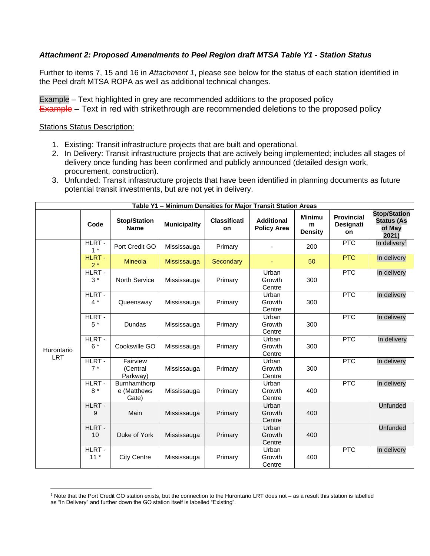## *Attachment 2: Proposed Amendments to Peel Region draft MTSA Table Y1 - Station Status*

Further to items 7, 15 and 16 in *Attachment 1*, please see below for the status of each station identified in the Peel draft MTSA ROPA as well as additional technical changes.

Example – Text highlighted in grey are recommended additions to the proposed policy Example – Text in red with strikethrough are recommended deletions to the proposed policy

## **Stations Status Description:**

- 1. Existing: Transit infrastructure projects that are built and operational.
- 2. In Delivery: Transit infrastructure projects that are actively being implemented; includes all stages of delivery once funding has been confirmed and publicly announced (detailed design work, procurement, construction).
- 3. Unfunded: Transit infrastructure projects that have been identified in planning documents as future potential transit investments, but are not yet in delivery.

| Table Y1 - Minimum Densities for Major Transit Station Areas |                 |                                      |                     |                           |                                         |                                      |                                      |                                                             |  |
|--------------------------------------------------------------|-----------------|--------------------------------------|---------------------|---------------------------|-----------------------------------------|--------------------------------------|--------------------------------------|-------------------------------------------------------------|--|
|                                                              | Code            | <b>Stop/Station</b><br><b>Name</b>   | <b>Municipality</b> | <b>Classificati</b><br>on | <b>Additional</b><br><b>Policy Area</b> | <b>Minimu</b><br>m<br><b>Density</b> | <b>Provincial</b><br>Designati<br>on | <b>Stop/Station</b><br><b>Status (As</b><br>of May<br>2021) |  |
|                                                              | HLRT-<br>$1 *$  | Port Credit GO                       | Mississauga         | Primary                   |                                         | 200                                  | <b>PTC</b>                           | In delivery <sup>1</sup>                                    |  |
|                                                              | HLRT -<br>$2*$  | <b>Mineola</b>                       | Mississauga         | Secondary                 | ٠                                       | 50                                   | <b>PTC</b>                           | In delivery                                                 |  |
|                                                              | HLRT -<br>$3*$  | North Service                        | Mississauga         | Primary                   | Urban<br>Growth<br>Centre               | 300                                  | <b>PTC</b>                           | In delivery                                                 |  |
|                                                              | HLRT -<br>$4*$  | Queensway                            | Mississauga         | Primary                   | Urban<br>Growth<br>Centre               | 300                                  | <b>PTC</b>                           | In delivery                                                 |  |
|                                                              | HLRT-<br>$5*$   | Dundas                               | Mississauga         | Primary                   | Urban<br>Growth<br>Centre               | 300                                  | <b>PTC</b>                           | In delivery                                                 |  |
| Hurontario<br><b>LRT</b>                                     | HLRT-<br>$6*$   | Cooksville GO                        | Mississauga         | Primary                   | Urban<br>Growth<br>Centre               | 300                                  | <b>PTC</b>                           | In delivery                                                 |  |
|                                                              | HLRT-<br>$7 *$  | Fairview<br>(Central<br>Parkway)     | Mississauga         | Primary                   | Urban<br>Growth<br>Centre               | 300                                  | <b>PTC</b>                           | In delivery                                                 |  |
|                                                              | HLRT-<br>$8*$   | Burnhamthorp<br>e (Matthews<br>Gate) | Mississauga         | Primary                   | Urban<br>Growth<br>Centre               | 400                                  | <b>PTC</b>                           | In delivery                                                 |  |
|                                                              | HLRT -<br>9     | Main                                 | Mississauga         | Primary                   | Urban<br>Growth<br>Centre               | 400                                  |                                      | <b>Unfunded</b>                                             |  |
|                                                              | HLRT-<br>10     | Duke of York                         | Mississauga         | Primary                   | Urban<br>Growth<br>Centre               | 400                                  |                                      | <b>Unfunded</b>                                             |  |
|                                                              | HLRT -<br>$11*$ | <b>City Centre</b>                   | Mississauga         | Primary                   | Urban<br>Growth<br>Centre               | 400                                  | <b>PTC</b>                           | In delivery                                                 |  |

<sup>1</sup> Note that the Port Credit GO station exists, but the connection to the Hurontario LRT does not – as a result this station is labelled as "In Delivery" and further down the GO station itself is labelled "Existing".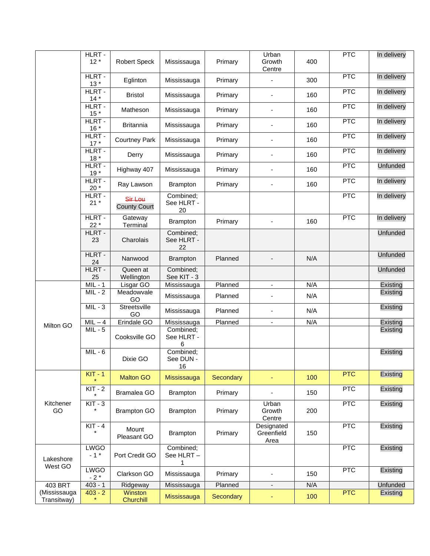|                             | HLRT -<br>$12*$       | <b>Robert Speck</b>            | Mississauga                   | Primary   | Urban<br>Growth<br>Centre        | 400 | <b>PTC</b> | In delivery     |
|-----------------------------|-----------------------|--------------------------------|-------------------------------|-----------|----------------------------------|-----|------------|-----------------|
|                             | HLRT -<br>$13*$       | Eglinton                       | Mississauga                   | Primary   | $\overline{\phantom{a}}$         | 300 | PTC        | In delivery     |
|                             | HLRT -<br>$14*$       | <b>Bristol</b>                 | Mississauga                   | Primary   | $\overline{\phantom{a}}$         | 160 | <b>PTC</b> | In delivery     |
|                             | HLRT-<br>$15*$        | Matheson                       | Mississauga                   | Primary   | $\overline{\phantom{a}}$         | 160 | <b>PTC</b> | In delivery     |
|                             | HLRT -<br>$16*$       | <b>Britannia</b>               | Mississauga                   | Primary   | $\overline{\phantom{a}}$         | 160 | <b>PTC</b> | In delivery     |
|                             | HLRT-<br>$17 *$       | <b>Courtney Park</b>           | Mississauga                   | Primary   | Ξ.                               | 160 | PTC        | In delivery     |
|                             | HLRT -<br>$18*$       | Derry                          | Mississauga                   | Primary   | Ξ.                               | 160 | PTC        | In delivery     |
|                             | HLRT-<br>$19*$        | Highway 407                    | Mississauga                   | Primary   | ÷,                               | 160 | <b>PTC</b> | <b>Unfunded</b> |
|                             | HLRT -<br>20 $*$      | Ray Lawson                     | <b>Brampton</b>               | Primary   | $\overline{\phantom{a}}$         | 160 | <b>PTC</b> | In delivery     |
|                             | HLRT -<br>$21 *$      | Sir Lou<br><b>County Court</b> | Combined;<br>See HLRT -<br>20 |           |                                  |     | PTC        | In delivery     |
|                             | HLRT -<br>$22*$       | Gateway<br>Terminal            | <b>Brampton</b>               | Primary   | $\blacksquare$                   | 160 | PTC        | In delivery     |
|                             | HLRT -<br>23          | Charolais                      | Combined;<br>See HLRT -<br>22 |           |                                  |     |            | <b>Unfunded</b> |
|                             | HLRT-<br>24           | Nanwood                        | <b>Brampton</b>               | Planned   |                                  | N/A |            | <b>Unfunded</b> |
|                             | HLRT-<br>25           | Queen at<br>Wellington         | Combined;<br>See KIT - 3      |           |                                  |     |            | <b>Unfunded</b> |
|                             | $\overline{MIL} - 1$  | Lisgar GO                      | Mississauga                   | Planned   | $\overline{\phantom{a}}$         | N/A |            | Existing        |
|                             | $MIL - 2$             | Meadowvale<br>GO               | Mississauga                   | Planned   |                                  | N/A |            | Existing        |
|                             | $MIL - 3$             | Streetsville<br>GO             | Mississauga                   | Planned   |                                  | N/A |            | Existing        |
| Milton GO                   | $MIL - 4$             | Erindale GO                    | Mississauga                   | Planned   | $\overline{\phantom{a}}$         | N/A |            | Existing        |
|                             | $MIL - 5$             | Cooksville GO                  | Combined;<br>See HLRT -<br>6  |           |                                  |     |            | Existing        |
|                             | $MIL - 6$             | Dixie GO                       | Combined;<br>See DUN -<br>16  |           |                                  |     |            | Existing        |
|                             | $KIT - 1$             | <b>Malton GO</b>               | Mississauga                   | Secondary | Ξ                                | 100 | <b>PTC</b> | Existing        |
|                             | $KIT - 2$             | Bramalea GO                    | <b>Brampton</b>               | Primary   | ٠                                | 150 | PTC        | Existing        |
| Kitchener<br>GO             | $KIT - 3$             | <b>Brampton GO</b>             | <b>Brampton</b>               | Primary   | Urban<br>Growth<br>Centre        | 200 | PTC        | Existing        |
|                             | $KIT - 4$             | Mount<br>Pleasant GO           | <b>Brampton</b>               | Primary   | Designated<br>Greenfield<br>Area | 150 | <b>PTC</b> | Existing        |
| Lakeshore                   | <b>LWGO</b><br>$-1$ * | Port Credit GO                 | Combined;<br>See HLRT -<br>1  |           |                                  |     | PTC        | Existing        |
| West GO                     | LWGO<br>$-2*$         | Clarkson GO                    | Mississauga                   | Primary   | $\overline{\phantom{a}}$         | 150 | PTC        | Existing        |
| 403 BRT                     | $403 - 1$             | Ridgeway                       | Mississauga                   | Planned   | $\overline{\phantom{a}}$         | N/A |            | <b>Unfunded</b> |
| (Mississauga<br>Transitway) | $403 - 2$             | Winston<br><b>Churchill</b>    | Mississauga                   | Secondary |                                  | 100 | PTC        | Existing        |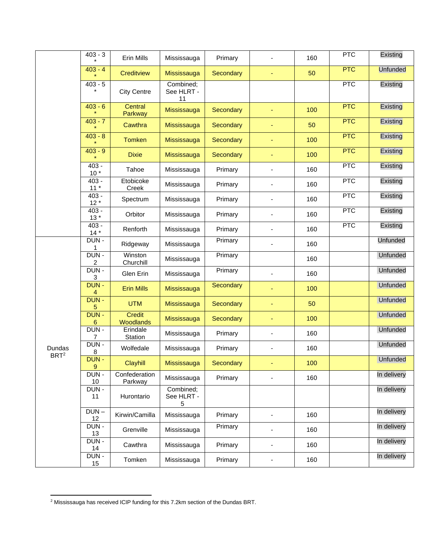|                            | $403 - 3$         | Erin Mills               | Mississauga                   | Primary          |                              | 160 | PTC        | Existing        |
|----------------------------|-------------------|--------------------------|-------------------------------|------------------|------------------------------|-----|------------|-----------------|
|                            | $403 - 4$         | Creditview               | Mississauga                   | Secondary        | ٠                            | 50  | PTC        | <b>Unfunded</b> |
|                            | $403 - 5$         | <b>City Centre</b>       | Combined;<br>See HLRT -<br>11 |                  |                              |     | PTC        | Existing        |
|                            | $403 - 6$         | Central<br>Parkway       | Mississauga                   | <b>Secondary</b> | $\blacksquare$               | 100 | PTC        | Existing        |
|                            | $403 - 7$         | Cawthra                  | Mississauga                   | Secondary        | $\blacksquare$               | 50  | PTC        | Existing        |
|                            | $403 - 8$         | <b>Tomken</b>            | Mississauga                   | <b>Secondary</b> | ÷                            | 100 | PTC        | Existing        |
|                            | $403 - 9$         | <b>Dixie</b>             | Mississauga                   | <b>Secondary</b> | $\blacksquare$               | 100 | <b>PTC</b> | Existing        |
|                            | $403 -$<br>$10*$  | Tahoe                    | Mississauga                   | Primary          | $\overline{\phantom{a}}$     | 160 | PTC        | Existing        |
|                            | $403 -$<br>$11 *$ | Etobicoke<br>Creek       | Mississauga                   | Primary          | $\overline{\phantom{0}}$     | 160 | <b>PTC</b> | Existing        |
|                            | $403 -$<br>$12*$  | Spectrum                 | Mississauga                   | Primary          | $\overline{\phantom{0}}$     | 160 | <b>PTC</b> | Existing        |
|                            | $403 -$<br>$13*$  | Orbitor                  | Mississauga                   | Primary          | $\overline{\phantom{a}}$     | 160 | PTC        | Existing        |
|                            | $403 -$<br>$14*$  | Renforth                 | Mississauga                   | Primary          | $\overline{\phantom{a}}$     | 160 | <b>PTC</b> | Existing        |
|                            | DUN-<br>1         | Ridgeway                 | Mississauga                   | Primary          | Ξ.                           | 160 |            | <b>Unfunded</b> |
|                            | DUN-<br>2         | Winston<br>Churchill     | Mississauga                   | Primary          |                              | 160 |            | Unfunded        |
|                            | DUN-<br>3         | Glen Erin                | Mississauga                   | Primary          |                              | 160 |            | Unfunded        |
|                            | DUN-<br>4         | <b>Erin Mills</b>        | Mississauga                   | <b>Secondary</b> | Ξ                            | 100 |            | <b>Unfunded</b> |
|                            | DUN -<br>5        | <b>UTM</b>               | Mississauga                   | <b>Secondary</b> | Ξ                            | 50  |            | Unfunded        |
|                            | DUN-<br>6         | Credit<br>Woodlands      | Mississauga                   | Secondary        | Ξ                            | 100 |            | Unfunded        |
|                            | DUN-<br>7         | Erindale<br>Station      | Mississauga                   | Primary          | $\overline{\phantom{0}}$     | 160 |            | Unfunded        |
| Dundas<br>BRT <sup>2</sup> | DUN-<br>8         | Wolfedale                | Mississauga                   | Primary          | $\overline{\phantom{a}}$     | 160 |            | Unfunded        |
|                            | DUN-<br>9         | Clayhill                 | Mississauga                   | Secondary        |                              | 100 |            | Unfunded        |
|                            | DUN-<br>10        | Confederation<br>Parkway | Mississauga                   | Primary          |                              | 160 |            | In delivery     |
|                            | DUN -<br>11       | Hurontario               | Combined;<br>See HLRT -<br>5  |                  |                              |     |            | In delivery     |
|                            | $DUN -$<br>12     | Kirwin/Camilla           | Mississauga                   | Primary          |                              | 160 |            | In delivery     |
|                            | DUN-<br><u>13</u> | Grenville                | Mississauga                   | Primary          | ä,                           | 160 |            | In delivery     |
|                            | DUN-<br>14        | Cawthra                  | Mississauga                   | Primary          | $\qquad \qquad \blacksquare$ | 160 |            | In delivery     |
|                            | DUN -<br>15       | Tomken                   | Mississauga                   | Primary          | $\overline{\phantom{a}}$     | 160 |            | In delivery     |

<sup>2</sup> Mississauga has received ICIP funding for this 7.2km section of the Dundas BRT.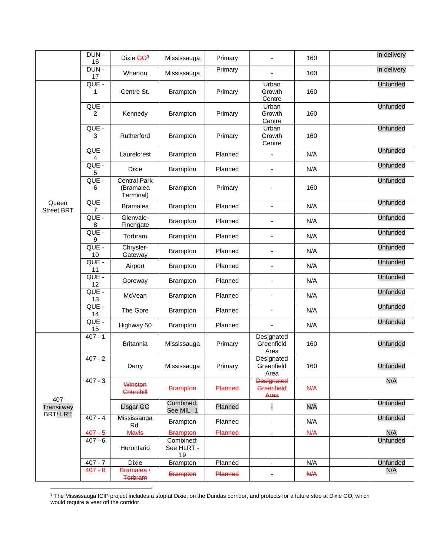|                            | DUN-<br>16  | Dixie GO3                                     | Mississauga                   | Primary |                                         | 160              | In delivery     |
|----------------------------|-------------|-----------------------------------------------|-------------------------------|---------|-----------------------------------------|------------------|-----------------|
|                            | DUN-<br>17  | Wharton                                       | Mississauga                   | Primary |                                         | 160              | In delivery     |
|                            | QUE -<br>1  | Centre St.                                    | Brampton                      | Primary | Urban<br>Growth<br>Centre               | 160              | <b>Unfunded</b> |
|                            | QUE -<br>2  | Kennedy                                       | <b>Brampton</b>               | Primary | Urban<br>Growth<br>Centre               | 160              | <b>Unfunded</b> |
|                            | QUE -<br>3  | Rutherford                                    | <b>Brampton</b>               | Primary | Urban<br>Growth<br>Centre               | 160              | <b>Unfunded</b> |
|                            | QUE -<br>4  | Laurelcrest                                   | <b>Brampton</b>               | Planned | $\blacksquare$                          | N/A              | <b>Unfunded</b> |
|                            | QUE -<br>5  | Dixie                                         | <b>Brampton</b>               | Planned | $\blacksquare$                          | N/A              | <b>Unfunded</b> |
|                            | QUE -<br>6  | <b>Central Park</b><br>(Bramalea<br>Terminal) | <b>Brampton</b>               | Primary |                                         | 160              | <b>Unfunded</b> |
| Queen<br><b>Street BRT</b> | QUE -<br>7  | <b>Bramalea</b>                               | <b>Brampton</b>               | Planned | $\blacksquare$                          | N/A              | <b>Unfunded</b> |
|                            | QUE -<br>8  | Glenvale-<br>Finchgate                        | <b>Brampton</b>               | Planned | $\blacksquare$                          | N/A              | <b>Unfunded</b> |
|                            | QUE -<br>9  | Torbram                                       | <b>Brampton</b>               | Planned | $\overline{\phantom{a}}$                | N/A              | <b>Unfunded</b> |
|                            | QUE -<br>10 | Chrysler-<br>Gateway                          | <b>Brampton</b>               | Planned | $\overline{\phantom{0}}$                | N/A              | <b>Unfunded</b> |
|                            | QUE -<br>11 | Airport                                       | <b>Brampton</b>               | Planned | $\overline{\phantom{a}}$                | N/A              | <b>Unfunded</b> |
|                            | QUE -<br>12 | Goreway                                       | Brampton                      | Planned | $\blacksquare$                          | N/A              | <b>Unfunded</b> |
|                            | QUE -<br>13 | McVean                                        | <b>Brampton</b>               | Planned | $\blacksquare$                          | N/A              | <b>Unfunded</b> |
|                            | QUE -<br>14 | The Gore                                      | <b>Brampton</b>               | Planned | $\blacksquare$                          | N/A              | <b>Unfunded</b> |
|                            | QUE -<br>15 | Highway 50                                    | <b>Brampton</b>               | Planned |                                         | N/A              | <b>Unfunded</b> |
|                            | $407 - 1$   | <b>Britannia</b>                              | Mississauga                   | Primary | Designated<br>Greenfield<br>Area        | 160              | <b>Unfunded</b> |
|                            | $407 - 2$   | Derry                                         | Mississauga                   | Primary | Designated<br>Greenfield<br>Area        | 160              | <b>Unfunded</b> |
|                            | $407 - 3$   | Winston<br>Churchill                          | <b>Brampton</b>               | Planned | <b>Designated</b><br>Greenfield<br>Area | $A\rightarrow A$ | N/A             |
| 407<br>Transitway          |             | Lisgar GO                                     | Combined;<br>See MIL-1        | Planned | H                                       | N/A              | <b>Unfunded</b> |
| BRT/LRT                    | $407 - 4$   | Mississauga<br>Rd.                            | <b>Brampton</b>               | Planned | $\overline{\phantom{a}}$                | N/A              | <b>Unfunded</b> |
|                            | $407 - 5$   | Mavis                                         | <b>Brampton</b>               | Planned | $\blacksquare$                          | <b>N/A</b>       | N/A             |
|                            | $407 - 6$   | Hurontario                                    | Combined;<br>See HLRT -<br>19 |         |                                         |                  | Unfunded        |
|                            | $407 - 7$   | Dixie                                         | Brampton                      | Planned | $\overline{\phantom{a}}$                | N/A              | <b>Unfunded</b> |
|                            | $407 - 8$   | Bramalea /<br>Torbram                         | <b>Brampton</b>               | Planned | $\blacksquare$                          | A                | N/A             |

 $3$  The Mississauga ICIP project includes a stop at Dixie, on the Dundas corridor, and protects for a future stop at Dixie GO, which would require a veer off the corridor.